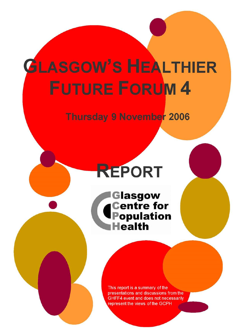# **GLASGOW'S HEALTHIER FUTURE FORUM 4**

### **Thursday 9 November 2006**

## **REPORT**

**Glasgow Centre for**<br>**Population Health** 

> This report is a summary of the presentations and discussions from the GHFF4 event and does not necessarily represent the views of the GCPH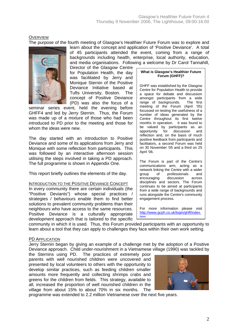**OVERVIEW** 

The purpose of the fourth meeting of Glasgow's Healthier Future Forum was to explore and



learn about the concept and application of 'Positive Deviance'. A total of 45 participants attended the event, coming from a range of backgrounds including health, enterprise, local authority, education, and media organisations. Following a welcome by Dr Carol Tannahill,

Director of the Glasgow Centre for Population Health, the day was facilitated by Jerry and Monique Sternin of the Positive Deviance Initiative based at Tufts University, Boston. The concept of Positive Deviance (PD) was also the focus of a

seminar series event, held the evening before GHFF4 and led by Jerry Sternin. Thus, the Forum was made up of a mixture of those who had been introduced to PD prior to the meeting and those for whom the ideas were new.

The day started with an introduction to Positive Deviance and some of its applications from Jerry and Monique with some reflection from participants. This was followed by an interactive afternoon session utilising the steps involved in taking a PD approach. The full programme is shown in Appendix One.

This report briefly outlines the elements of the day.

#### INTRODUCTION TO THE POSITIVE DEVIANCE CONCEPT

In every community there are certain individuals (the "Positive Deviants") whose special practices / strategies / behaviours enable them to find better solutions to prevalent community problems than their neighbours who have access to the same resources. Positive Deviance is a culturally appropriate development approach that is tailored to the specific

#### **What is Glasgow's Healthier Future Forum (GHFF)?**

GHFF was established by the Glasgow Centre for Population Health to provide a space for debate and discussion amongst participants from a wide<br>range of backgrounds. The first range of backgrounds. meeting of the Forum (April '05) focussed on testing the usefulness of a number of ideas generated by the Centre throughout its first twelve months in operation. It was found to be valued by participants as an opportunity for discussion and reflection and, on the basis of much positive feedback from participants and facilitators, a second Forum was held on 30 November '05 and a third on 25 April '06.

The Forum is part of the Centre's communications arm, acting as a network linking the Centre with a wider group of professionals and encouraging discussion across disciplines and sectors. The Forum continues to be aimed at participants from a wide range of backgrounds and runs alongside the Centre's community engagement process.

For more information please visit [http://www.gcph.co.uk/login/ghff/index.](http://www.gcph.co.uk/login/ghff/index.htm) [htm](http://www.gcph.co.uk/login/ghff/index.htm)

community in which it is used. Thus, this Forum provided participants with an opportunity to learn about a tool that they can apply to challenges they face within their own work setting.

#### PD APPLICATION

Jerry Sternin began by giving an example of a challenge met by the adoption of a Positive Deviance approach. Child under-nourishment in a Vietnamese village (1990) was tackled by

the Sternins using PD. The practices of extremely poor parents with well nourished children were uncovered and presented by local volunteers to others with the opportunity to develop similar practices, such as feeding children smaller amounts more frequently and collecting shrimps crabs and greens for the children from fields. This strategy, available to all, increased the proportion of well nourished children in the village from about 15% to about 70% in six months. The



programme was extended to 2.2 million Vietnamese over the next five years.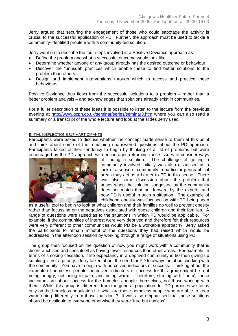Jerry argued that securing the engagement of those who could sabotage the activity is crucial to the successful application of PD. Further, the approach must be used to tackle a community-identified problem with a community-led solution.

Jerry went on to describe the four steps involved in a Positive Deviance approach as:

- Define the problem and what a successful outcome would look like.
- Determine whether anyone or any group already has the desired outcome or behaviour.
- Discover the "unusual" practices which enable these to find better solutions to the problem than others.
- Design and implement interventions through which to access and practice these behaviours.

Positive Deviance thus flows from the successful solutions to a problem – rather than a better problem analysis – and acknowledges that solutions already exist in communities.

For a fuller description of these ideas it is possible to listen to the lecture from the previous evening at <http://www.gcph.co.uk/seminar/series/seminar3.htm> where you can also read a summary or a transcript of the whole lecture and look at the slides Jerry used.

#### INITIAL REFLECTIONS OF PARTICIPANTS

Participants were asked to discuss whether the concept made sense to them at this point and think about some of the remaining unanswered questions about the PD approach. Participants talked of their tendency to begin by thinking of a list of problems but were encouraged by the PD approach with encourages reframing these issues to consider ways



of finding a solution. The challenge of getting a community involved initially was also discussed as a lack of a sense of community in particular geographical areas may act as a barrier to PD in this sense. There was also some discussion about the problem that arises when the solution suggested by the community does not match that put forward by the experts and how PD is useful in such a situation. The example of childhood obesity was focused on with PD being seen

as a useful tool to begin to look at what children and their families do well to prevent obesity rather than focussing on the negatives associated with obese children and their families. A range of questions were raised as to the situations in which PD would be applicable. For example, if the communities of interest were very deprived and therefore felt their resources were very different to other communities would PD be a workable approach? Jerry asked the participants to remain mindful of the questions they had raised which would be addressed in the afternoon session by working through a range of situations using PD.

The group then focused on the question of how you might work with a community that is disenfranchised and sees itself as having fewer resources than other areas. For example, in terms of smoking cessation, if life expectancy in a deprived community is 60 then giving up smoking is not a priority. Jerry talked about the need for PD to always be about working with the community. You have to begin with perceived indicators of success. Thinking about the example of homeless people, perceived indicators of success for this group might be: not being hungry; not being in pain; and being warm. Therefore, starting with 'them', these indicators are about success for the homeless people themselves, not those working with them. Whilst this group is 'different' from the general population, for PD purposes we focus only on the homeless population i.e. what are those homeless people who are able to keep warm doing differently from those that don't? It was also emphasised that these solutions should be available to everyone otherwise they were 'true but useless'.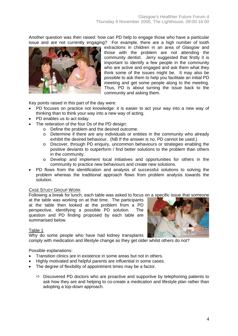Another question was then raised: how can PD help to engage those who have a particular issue and are not currently engaging? For example, there are a high number of tooth



extractions in children in an area of Glasgow and those with the problem are not attending the community dentist. Jerry suggested that firstly it is important to identify a few people in the community who are active and engaged and ask them what they think some of the issues might be. It may also be possible to ask them to help you facilitate an initial PD meeting and get some people along to the meeting. Thus, PD is about turning the issue back to the community and asking them.

Key points raised in this part of the day were:

- PD focuses on practice not knowledge: it is easier to act your way into a new way of thinking than to think your way into a new way of acting.
- PD enables us to act today.
- The reiteration of the four Ds of the PD design:
	- o Define the problem and the desired outcome.
	- o Determine if there are any individuals or entities in the community who already exhibit the desired behaviour. (NB If the answer is no, PD cannot be used.)
	- o Discover, through PD enquiry, uncommon behaviours or strategies enabling the positive deviants to outperform / find better solutions to the problem than others in the community.
	- o Develop and implement local initiatives and opportunities for others in the community to practice new behaviours and create new solutions.
- PD flows from the identification and analysis of successful solutions to solving the problem whereas the traditional approach flows from problem analysis towards the solution.

#### CASE STUDY GROUP WORK

Following a break for lunch, each table was asked to focus on a specific issue that someone

at the table was working on at that time. The participants at the table then looked at the problem from a PD perspective, identifying a possible PD solution. The question and PD finding proposed by each table are summarised below.

#### Table 1

Why do some people who have had kidney transplants

comply with medication and lifestyle change as they get older whilst others do not?

#### Possible explanations:

- Transition clinics are in existence in some areas but not in others.
- Highly motivated and helpful parents are influential in some cases.
- The degree of flexibility of appointment times may be a factor.
	- $\Rightarrow$  Discovered PD doctors who are proactive and supportive by telephoning patients to ask how they are and helping to co-create a medication and lifestyle plan rather than adopting a top-down approach.

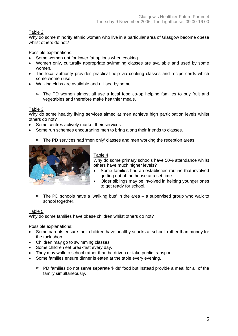#### Table 2

Why do some minority ethnic women who live in a particular area of Glasgow become obese whilst others do not?

Possible explanations:

- Some women opt for lower fat options when cooking.
- Women only, culturally appropriate swimming classes are available and used by some women.
- The local authority provides practical help via cooking classes and recipe cards which some women use.
- Walking clubs are available and utilised by some.
	- $\Rightarrow$  The PD women almost all use a local food co-op helping families to buy fruit and vegetables and therefore make healthier meals.

#### Table 3

Why do some healthy living services aimed at men achieve high participation levels whilst others do not?

- Some centres actively market their services.
- Some run schemes encouraging men to bring along their friends to classes.

 $\Rightarrow$  The PD services had 'men only' classes and men working the reception areas.



#### Table 4

Why do some primary schools have 50% attendance whilst others have much higher levels?

- Some families had an established routine that involved getting out of the house at a set time.
- Older siblings may be involved in helping younger ones to get ready for school.
- $\Rightarrow$  The PD schools have a 'walking bus' in the area a supervised group who walk to school together.

#### Table 5

Why do some families have obese children whilst others do not?

Possible explanations:

- Some parents ensure their children have healthy snacks at school, rather than money for the tuck shop.
- Children may go to swimming classes.
- Some children eat breakfast every day.
- They may walk to school rather than be driven or take public transport.
- Some families ensure dinner is eaten at the table every evening.
	- $\Rightarrow$  PD families do not serve separate 'kids' food but instead provide a meal for all of the family simultaneously.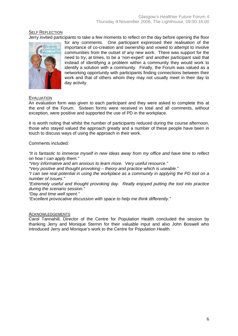#### SELF REFLECTION

Jerry invited participants to take a few moments to reflect on the day before opening the floor



for any comments. One participant expressed their realisation of the importance of co-creation and ownership and vowed to attempt to involve communities from the outset of any new work. There was support for the need to try, at times, to be a 'non-expert' and another participant said that instead of identifying a problem within a community they would work to identify a solution with a community. Finally, the Forum was valued as a networking opportunity with participants finding connections between their work and that of others whom they may not usually meet in their day to day activity.

#### **EVALUATION**

An evaluation form was given to each participant and they were asked to complete this at the end of the Forum. Sixteen forms were received in total and all comments, without exception, were positive and supported the use of PD in the workplace.

It is worth noting that whilst the number of participants reduced during the course afternoon, those who stayed valued the approach greatly and a number of these people have been in touch to discuss ways of using the approach in their work.

Comments included:

*"It is fantastic to immerse myself in new ideas away from my office and have time to reflect on how I can apply them."* 

*"Very informative and am anxious to learn more. Very useful resource."* 

*"Very positive and thought provoking – theory and practice which is useable."* 

*"I can see real potential in using the workplace as a community in applying the PD tool on a number of issues."* 

*"Extremely useful and thought provoking day. Really enjoyed putting the tool into practice during the scenario session."* 

*"Day and time well spent."* 

*"Excellent provocative discussion with space to help me think differently."* 

#### **ACKNOWLEDGEMENTS**

Carol Tannahill, Director of the Centre for Population Health concluded the session by thanking Jerry and Monique Sternin for their valuable input and also John Boswell who introduced Jerry and Monique's work to the Centre for Population Health.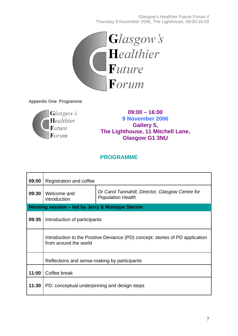

Appendix One: Programme



**09:00 – 16:00 9 November 2006 Gallery 5, The Lighthouse, 11 Mitchell Lane, Glasgow G1 3NU** 

### **PROGRAMME**

| 09:00                                            | Registration and coffee                                                                                |                                                                              |
|--------------------------------------------------|--------------------------------------------------------------------------------------------------------|------------------------------------------------------------------------------|
| 09:30                                            | Welcome and<br>introduction                                                                            | Dr Carol Tannahill, Director, Glasgow Centre for<br><b>Population Health</b> |
| Morning session - led by Jerry & Monique Sternin |                                                                                                        |                                                                              |
| 09:35                                            | Introduction of participants                                                                           |                                                                              |
|                                                  | Introduction to the Positive Deviance (PD) concept: stories of PD application<br>from around the world |                                                                              |
|                                                  | Reflections and sense-making by participants                                                           |                                                                              |
| 11:00                                            | Coffee break                                                                                           |                                                                              |
| 11:30                                            | PD: conceptual underpinning and design steps                                                           |                                                                              |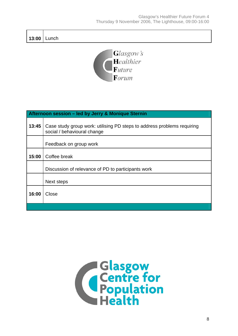**13:00**  Lunch



| Afternoon session - led by Jerry & Monique Sternin |                                                                                                        |  |
|----------------------------------------------------|--------------------------------------------------------------------------------------------------------|--|
| 13:45                                              | Case study group work: utilising PD steps to address problems requiring<br>social / behavioural change |  |
|                                                    | Feedback on group work                                                                                 |  |
| 15:00                                              | Coffee break                                                                                           |  |
|                                                    | Discussion of relevance of PD to participants work                                                     |  |
|                                                    | Next steps                                                                                             |  |
| 16:00                                              | Close                                                                                                  |  |
|                                                    |                                                                                                        |  |